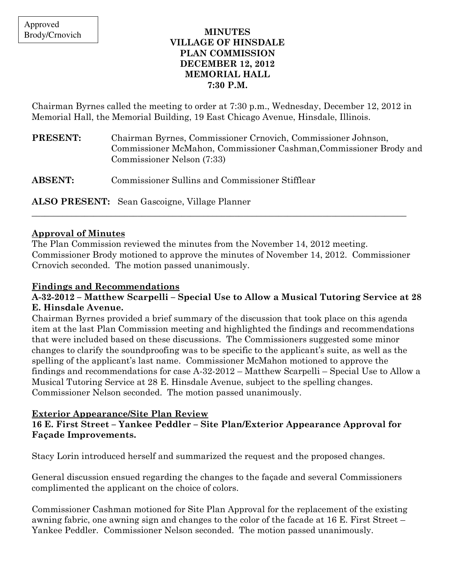#### MINUTES VILLAGE OF HINSDALE PLAN COMMISSION DECEMBER 12, 2012 MEMORIAL HALL 7:30 P.M.

Chairman Byrnes called the meeting to order at 7:30 p.m., Wednesday, December 12, 2012 in Memorial Hall, the Memorial Building, 19 East Chicago Avenue, Hinsdale, Illinois.

| PRESENT: | Chairman Byrnes, Commissioner Crnovich, Commissioner Johnson,      |
|----------|--------------------------------------------------------------------|
|          | Commissioner McMahon, Commissioner Cashman, Commissioner Brody and |
|          | Commissioner Nelson (7:33)                                         |
|          |                                                                    |

ABSENT: Commissioner Sullins and Commissioner Stifflear

ALSO PRESENT: Sean Gascoigne, Village Planner

### Approval of Minutes

The Plan Commission reviewed the minutes from the November 14, 2012 meeting. Commissioner Brody motioned to approve the minutes of November 14, 2012. Commissioner Crnovich seconded. The motion passed unanimously.

\_\_\_\_\_\_\_\_\_\_\_\_\_\_\_\_\_\_\_\_\_\_\_\_\_\_\_\_\_\_\_\_\_\_\_\_\_\_\_\_\_\_\_\_\_\_\_\_\_\_\_\_\_\_\_\_\_\_\_\_\_\_\_\_\_\_\_\_\_\_\_\_\_\_\_\_\_\_\_\_\_\_\_\_\_

# Findings and Recommendations

### A-32-2012 – Matthew Scarpelli – Special Use to Allow a Musical Tutoring Service at 28 E. Hinsdale Avenue.

Chairman Byrnes provided a brief summary of the discussion that took place on this agenda item at the last Plan Commission meeting and highlighted the findings and recommendations that were included based on these discussions. The Commissioners suggested some minor changes to clarify the soundproofing was to be specific to the applicant's suite, as well as the spelling of the applicant's last name. Commissioner McMahon motioned to approve the findings and recommendations for case A-32-2012 – Matthew Scarpelli – Special Use to Allow a Musical Tutoring Service at 28 E. Hinsdale Avenue, subject to the spelling changes. Commissioner Nelson seconded. The motion passed unanimously.

### Exterior Appearance/Site Plan Review

### 16 E. First Street – Yankee Peddler – Site Plan/Exterior Appearance Approval for Façade Improvements.

Stacy Lorin introduced herself and summarized the request and the proposed changes.

General discussion ensued regarding the changes to the façade and several Commissioners complimented the applicant on the choice of colors.

Commissioner Cashman motioned for Site Plan Approval for the replacement of the existing awning fabric, one awning sign and changes to the color of the facade at 16 E. First Street – Yankee Peddler. Commissioner Nelson seconded. The motion passed unanimously.